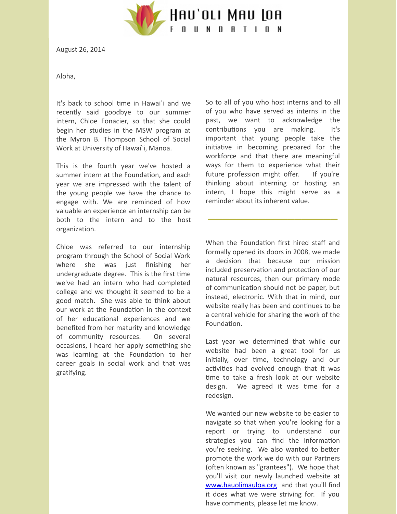

August 26, 2014

Aloha,

It's back to school time in Hawai`i and we recently said goodbye to our summer intern, Chloe Fonacier, so that she could begin her studies in the MSW program at the Myron B. Thompson School of Social Work at University of Hawai`i, Mānoa.

This is the fourth year we've hosted a summer intern at the Foundation, and each year we are impressed with the talent of the young people we have the chance to engage with. We are reminded of how valuable an experience an internship can be both to the intern and to the host organization.

Chloe was referred to our internship program through the School of Social Work where she was just finishing her undergraduate degree. This is the first time we've had an intern who had completed college and we thought it seemed to be a good match. She was able to think about our work at the Foundation in the context of her educational experiences and we benefited from her maturity and knowledge of community resources. On several occasions, I heard her apply something she was learning at the Foundation to her career goals in social work and that was gratifying.

So to all of you who host interns and to all of you who have served as interns in the past, we want to acknowledge the contributions you are making. It's important that young people take the initiative in becoming prepared for the workforce and that there are meaningful ways for them to experience what their future profession might offer. If you're thinking about interning or hosting an intern, I hope this might serve as a reminder about its inherent value.

**\_\_\_\_\_\_\_\_\_\_\_\_\_\_\_\_\_\_**

When the Foundation first hired staff and formally opened its doors in 2008, we made a decision that because our mission included preservation and protection of our natural resources, then our primary mode of communication should not be paper, but instead, electronic. With that in mind, our website really has been and continues to be a central vehicle for sharing the work of the Foundation.

Last year we determined that while our website had been a great tool for us initially, over time, technology and our activities had evolved enough that it was me to take a fresh look at our website design. We agreed it was time for a redesign.

We wanted our new website to be easier to navigate so that when you're looking for a report or trying to understand our strategies you can find the information you're seeking. We also wanted to better promote the work we do with our Partners (often known as "grantees"). We hope that you'll visit our newly launched website at [www.hauolimauloa.org](http://www.hauolimauloa.org/?utm_source=3.+Revamped+Website+%26+Summer+Intern+%2714&utm_campaign=Constant+Contact%3A+About+Internships+7%2F18%2F13&utm_medium=email) and that you'll find it does what we were striving for. If you have comments, please let me know.